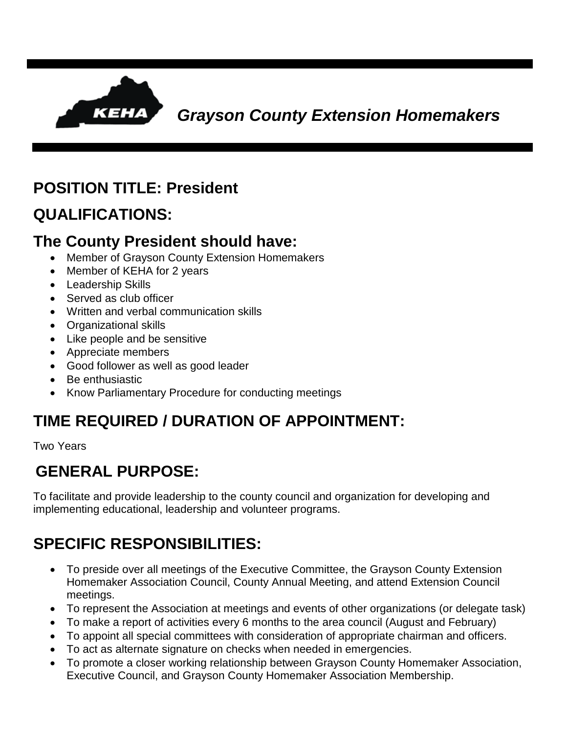

#### **POSITION TITLE: President**

### **QUALIFICATIONS:**

#### **The County President should have:**

- Member of Grayson County Extension Homemakers
- Member of KEHA for 2 years
- Leadership Skills
- Served as club officer
- Written and verbal communication skills
- Organizational skills
- Like people and be sensitive
- Appreciate members
- Good follower as well as good leader
- Be enthusiastic
- Know Parliamentary Procedure for conducting meetings

## **TIME REQUIRED / DURATION OF APPOINTMENT:**

Two Years

## **GENERAL PURPOSE:**

To facilitate and provide leadership to the county council and organization for developing and implementing educational, leadership and volunteer programs.

# **SPECIFIC RESPONSIBILITIES:**

- To preside over all meetings of the Executive Committee, the Grayson County Extension Homemaker Association Council, County Annual Meeting, and attend Extension Council meetings.
- To represent the Association at meetings and events of other organizations (or delegate task)
- To make a report of activities every 6 months to the area council (August and February)
- To appoint all special committees with consideration of appropriate chairman and officers.
- To act as alternate signature on checks when needed in emergencies.
- To promote a closer working relationship between Grayson County Homemaker Association, Executive Council, and Grayson County Homemaker Association Membership.